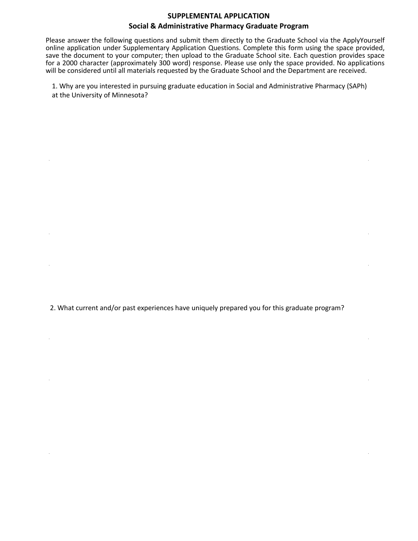## **SUPPLEMENTAL APPLICATION**

## **Social & Administrative Pharmacy Graduate Program**

Please answer the following questions and submit them directly to the Graduate School via the ApplyYourself online application under Supplementary Application Questions. Complete this form using the space provided, save the document to your computer; then upload to the Graduate School site. Each question provides space for a 2000 character (approximately 300 word) response. Please use only the space provided. No applications will be considered until all materials requested by the Graduate School and the Department are received.

1. Why are you interested in pursuing graduate education in Social and Administrative Pharmacy (SAPh) at the University of Minnesota?

2. What current and/or past experiences have uniquely prepared you for this graduate program?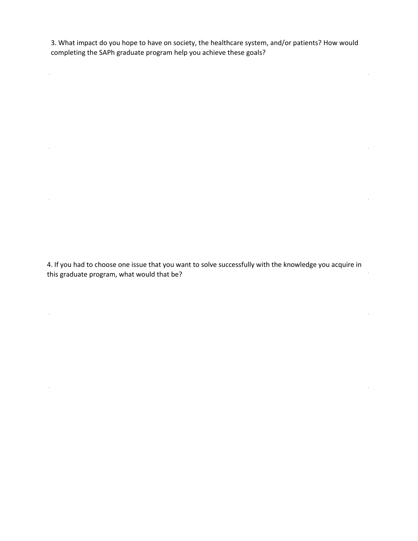3. What impact do you hope to have on society, the healthcare system, and/or patients? How would completing the SAPh graduate program help you achieve these goals?

 $\mathcal{L}^{\text{max}}$ 

 $\ddot{\phantom{a}}$ 

 $\mathcal{L}_{\mathcal{A}}$ 

l.

4. If you had to choose one issue that you want to solve successfully with the knowledge you acquire in this graduate program, what would that be?

l.